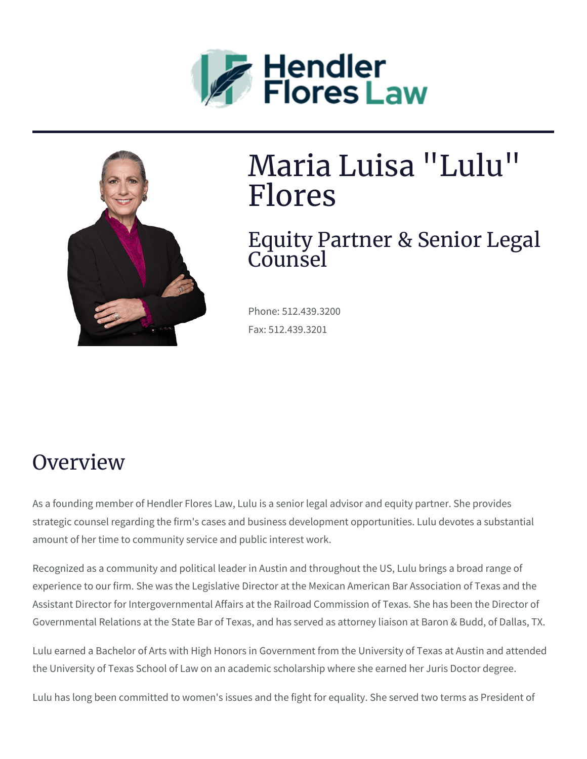



# Maria Luisa "Lulu" Flores

#### Equity Partner & Senior Legal  $C<sub>0</sub>$ unsel

Phone: 512.439.3200 Fax: 512.439.3201

## **Overview**

As a founding member of Hendler Flores Law, Lulu is a senior legal advisor and equity partner. She provides strategic counsel regarding the firm's cases and business development opportunities. Lulu devotes a substantial amount of her time to community service and public interest work.

Recognized as a community and political leader in Austin and throughout the US, Lulu brings a broad range of experience to our firm. She was the Legislative Director at the Mexican American Bar Association of Texas and the Assistant Director for Intergovernmental Affairs at the Railroad Commission of Texas. She has been the Director of Governmental Relations at the State Bar of Texas, and has served as attorney liaison at Baron & Budd, of Dallas, TX.

Lulu earned a Bachelor of Arts with High Honors in Government from the University of Texas at Austin and attended the University of Texas School of Law on an academic scholarship where she earned her Juris Doctor degree.

Lulu has long been committed to women's issues and the fight for equality. She served two terms as President of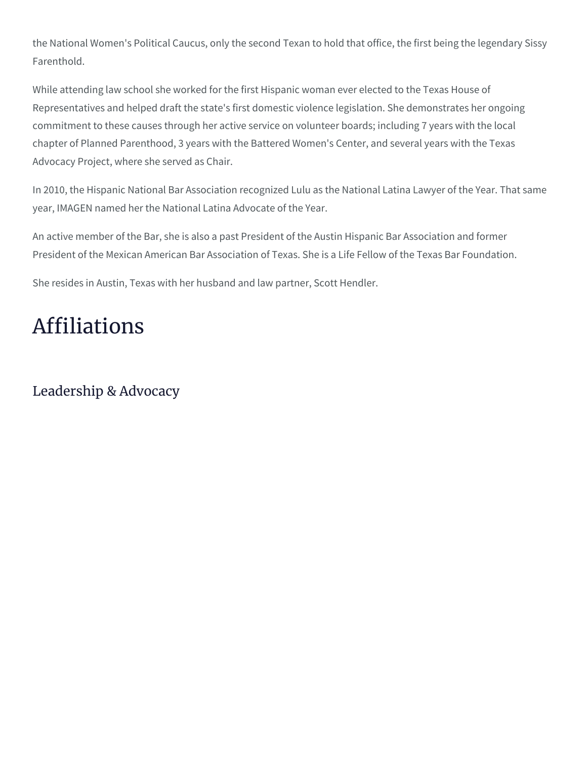the National Women's Political Caucus, only the second Texan to hold that office, the first being the legendary Sissy Farenthold.

While attending law school she worked for the first Hispanic woman ever elected to the Texas House of Representatives and helped draft the state's first domestic violence legislation. She demonstrates her ongoing commitment to these causes through her active service on volunteer boards; including 7 years with the local chapter of Planned Parenthood, 3 years with the Battered Women's Center, and several years with the Texas Advocacy Project, where she served as Chair.

In 2010, the Hispanic National Bar Association recognized Lulu as the National Latina Lawyer of the Year. That same year, IMAGEN named her the National Latina Advocate of the Year.

An active member of the Bar, she is also a past President of the Austin Hispanic Bar Association and former President of the Mexican American Bar Association of Texas. She is a Life Fellow of the Texas Bar Foundation.

She resides in Austin, Texas with her husband and law partner, Scott Hendler.

# Affiliations

Leadership & Advocacy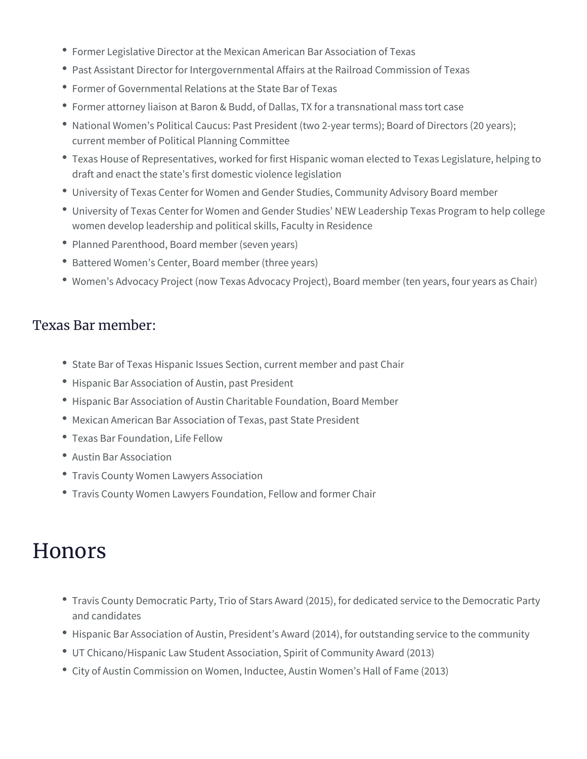- Former Legislative Director at the Mexican American Bar Association of Texas
- Past Assistant Director for Intergovernmental Affairs at the Railroad Commission of Texas
- Former of Governmental Relations at the State Bar of Texas
- Former attorney liaison at Baron & Budd, of Dallas, TX for a transnational mass tort case
- National Women's Political Caucus: Past President (two 2-year terms); Board of Directors (20 years); current member of Political Planning Committee
- Texas House of Representatives, worked for first Hispanic woman elected to Texas Legislature, helping to draft and enact the state's first domestic violence legislation
- University of Texas Center for Women and Gender Studies, Community Advisory Board member
- University of Texas Center for Women and Gender Studies' NEW Leadership Texas Program to help college women develop leadership and political skills, Faculty in Residence
- Planned Parenthood, Board member (seven years)
- Battered Women's Center, Board member (three years)
- Women's Advocacy Project (now Texas Advocacy Project), Board member (ten years, four years as Chair)

#### Texas Bar member:

- State Bar of Texas Hispanic Issues Section, current member and past Chair
- Hispanic Bar Association of Austin, past President
- Hispanic Bar Association of Austin Charitable Foundation, Board Member
- Mexican American Bar Association of Texas, past State President
- Texas Bar Foundation, Life Fellow
- Austin Bar Association
- Travis County Women Lawyers Association
- Travis County Women Lawyers Foundation, Fellow and former Chair

### **Honors**

- Travis County Democratic Party, Trio of Stars Award (2015), for dedicated service to the Democratic Party and candidates
- Hispanic Bar Association of Austin, President's Award (2014), for outstanding service to the community
- UT Chicano/Hispanic Law Student Association, Spirit of Community Award (2013)
- City of Austin Commission on Women, Inductee, Austin Women's Hall of Fame (2013)